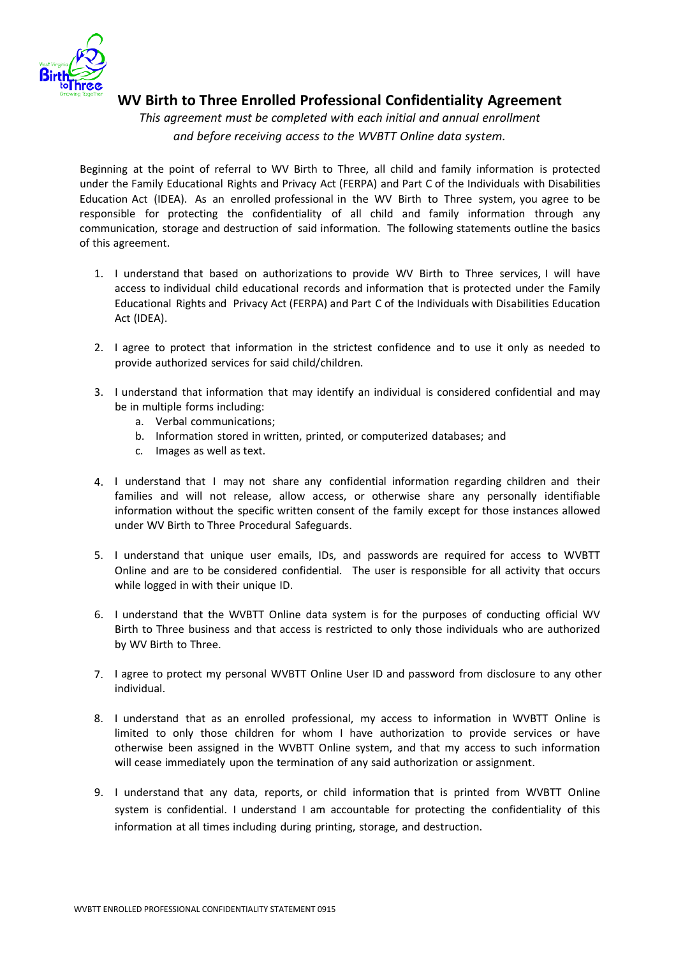

## **WV Birth to Three Enrolled Professional Confidentiality Agreement**

*This agreement must be completed with each initial and annual enrollment and before receiving access to the WVBTT Online data system.*

Beginning at the point of referral to WV Birth to Three, all child and family information is protected under the Family Educational Rights and Privacy Act (FERPA) and Part C of the Individuals with Disabilities Education Act (IDEA). As an enrolled professional in the WV Birth to Three system, you agree to be responsible for protecting the confidentiality of all child and family information through any communication, storage and destruction of said information. The following statements outline the basics of this agreement.

- 1. I understand that based on authorizations to provide WV Birth to Three services, I will have access to individual child educational records and information that is protected under the Family Educational Rights and Privacy Act (FERPA) and Part C of the Individuals with Disabilities Education Act (IDEA).
- 2. I agree to protect that information in the strictest confidence and to use it only as needed to provide authorized services for said child/children.
- 3. I understand that information that may identify an individual is considered confidential and may be in multiple forms including:
	- a. Verbal communications;
	- b. Information stored in written, printed, or computerized databases; and
	- c. Images as well as text.
- 4. I understand that I may not share any confidential information regarding children and their families and will not release, allow access, or otherwise share any personally identifiable information without the specific written consent of the family except for those instances allowed under WV Birth to Three Procedural Safeguards.
- 5. I understand that unique user emails, IDs, and passwords are required for access to WVBTT Online and are to be considered confidential. The user is responsible for all activity that occurs while logged in with their unique ID.
- 6. I understand that the WVBTT Online data system is for the purposes of conducting official WV Birth to Three business and that access is restricted to only those individuals who are authorized by WV Birth to Three.
- 7. I agree to protect my personal WVBTT Online User ID and password from disclosure to any other individual.
- 8. I understand that as an enrolled professional, my access to information in WVBTT Online is limited to only those children for whom I have authorization to provide services or have otherwise been assigned in the WVBTT Online system, and that my access to such information will cease immediately upon the termination of any said authorization or assignment.
- 9. I understand that any data, reports, or child information that is printed from WVBTT Online system is confidential. I understand I am accountable for protecting the confidentiality of this information at all times including during printing, storage, and destruction.